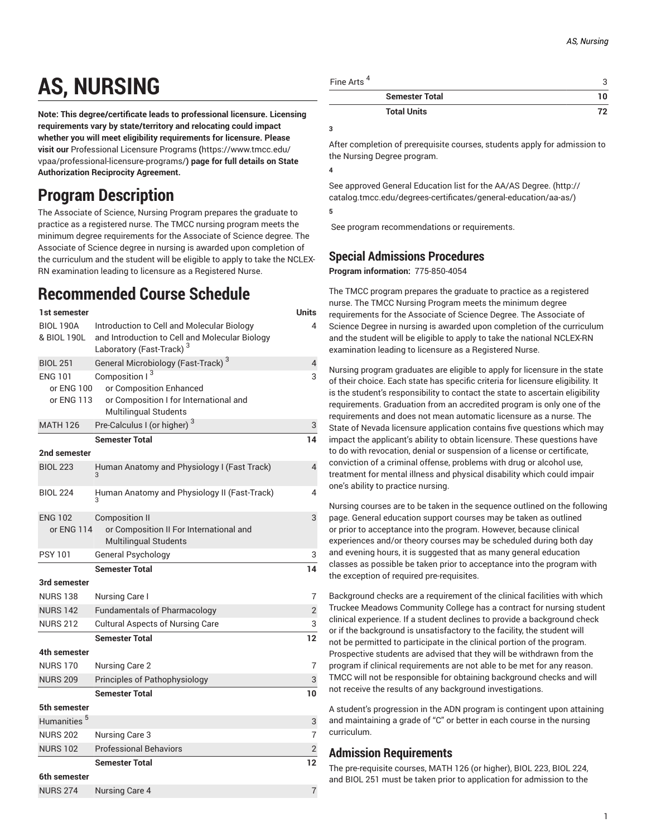# **AS, NURSING**

**Note: This degree/certificate leads to professional licensure. Licensing requirements vary by state/territory and relocating could impact whether you will meet eligibility requirements for licensure. Please visit our** [Professional](https://www.tmcc.edu/vpaa/professional-licensure-programs/) Licensure Programs **(**[https://www.tmcc.edu/](https://www.tmcc.edu/vpaa/professional-licensure-programs/) [vpaa/professional-licensure-programs/](https://www.tmcc.edu/vpaa/professional-licensure-programs/)**) page for full details on State Authorization Reciprocity Agreement.**

## **Program Description**

The Associate of Science, Nursing Program prepares the graduate to practice as a registered nurse. The TMCC nursing program meets the minimum degree requirements for the Associate of Science degree. The Associate of Science degree in nursing is awarded upon completion of the curriculum and the student will be eligible to apply to take the NCLEX-RN examination leading to licensure as a Registered Nurse.

## **Recommended Course Schedule**

| 1st semester            |                                                                        | Units          |
|-------------------------|------------------------------------------------------------------------|----------------|
| <b>BIOL 190A</b>        | Introduction to Cell and Molecular Biology                             | $\overline{4}$ |
| & BIOL 190L             | and Introduction to Cell and Molecular Biology                         |                |
|                         | Laboratory (Fast-Track) <sup>3</sup>                                   |                |
| <b>BIOL 251</b>         | General Microbiology (Fast-Track) <sup>3</sup>                         | $\overline{4}$ |
| <b>ENG 101</b>          | Composition I <sup>3</sup>                                             | 3              |
| or ENG 100              | or Composition Enhanced                                                |                |
| or ENG 113              | or Composition I for International and<br><b>Multilingual Students</b> |                |
| <b>MATH 126</b>         | Pre-Calculus I (or higher) <sup>3</sup>                                | 3              |
|                         | <b>Semester Total</b>                                                  | 14             |
| 2nd semester            |                                                                        |                |
| <b>BIOL 223</b>         | Human Anatomy and Physiology I (Fast Track)                            | $\overline{4}$ |
|                         |                                                                        |                |
| <b>BIOL 224</b>         | Human Anatomy and Physiology II (Fast-Track)                           | 4              |
|                         |                                                                        |                |
| <b>ENG 102</b>          | <b>Composition II</b>                                                  | 3              |
| or ENG 114              | or Composition II For International and                                |                |
|                         | <b>Multilingual Students</b>                                           |                |
| <b>PSY 101</b>          | General Psychology                                                     | 3              |
|                         | <b>Semester Total</b>                                                  | 14             |
| 3rd semester            |                                                                        |                |
| <b>NURS 138</b>         | Nursing Care I                                                         | $\overline{7}$ |
| <b>NURS 142</b>         | <b>Fundamentals of Pharmacology</b>                                    | $\overline{2}$ |
| <b>NURS 212</b>         | <b>Cultural Aspects of Nursing Care</b>                                | 3              |
|                         | <b>Semester Total</b>                                                  | 12             |
| 4th semester            |                                                                        |                |
| <b>NURS 170</b>         | Nursing Care 2                                                         | $\overline{7}$ |
| <b>NURS 209</b>         | Principles of Pathophysiology                                          | 3              |
|                         | <b>Semester Total</b>                                                  | 10             |
| 5th semester            |                                                                        |                |
| Humanities <sup>5</sup> |                                                                        | 3              |
| <b>NURS 202</b>         | Nursing Care 3                                                         | 7              |
| <b>NURS 102</b>         | <b>Professional Behaviors</b>                                          | $\overline{2}$ |
|                         | <b>Semester Total</b>                                                  | 12             |
| 6th semester            |                                                                        |                |
| <b>NURS 274</b>         | <b>Nursing Care 4</b>                                                  | $\overline{7}$ |

| Fine Arts <sup>4</sup> |    |
|------------------------|----|
| <b>Semester Total</b>  | 10 |
| <b>Total Units</b>     | 79 |

**3**

After completion of prerequisite courses, students apply for admission to the Nursing Degree program.

**4**

See approved General [Education](http://catalog.tmcc.edu/degrees-certificates/general-education/aa-as/) list for the AA/AS Degree. [\(http://](http://catalog.tmcc.edu/degrees-certificates/general-education/aa-as/) [catalog.tmcc.edu/degrees-certificates/general-education/aa-as/\)](http://catalog.tmcc.edu/degrees-certificates/general-education/aa-as/) **5**

See program recommendations or requirements.

### **Special Admissions Procedures**

**Program information:**  775-850-4054

The TMCC program prepares the graduate to practice as a registered nurse. The TMCC Nursing Program meets the minimum degree requirements for the Associate of Science Degree. The Associate of Science Degree in nursing is awarded upon completion of the curriculum and the student will be eligible to apply to take the national NCLEX-RN examination leading to licensure as a Registered Nurse.

Nursing program graduates are eligible to apply for licensure in the state of their choice. Each state has specific criteria for licensure eligibility. It is the student's responsibility to contact the state to ascertain eligibility requirements. Graduation from an accredited program is only one of the requirements and does not mean automatic licensure as a nurse. The State of Nevada licensure application contains five questions which may impact the applicant's ability to obtain licensure. These questions have to do with revocation, denial or suspension of a license or certificate, conviction of a criminal offense, problems with drug or alcohol use, treatment for mental illness and physical disability which could impair one's ability to practice nursing.

Nursing courses are to be taken in the sequence outlined on the following page. General education support courses may be taken as outlined or prior to acceptance into the program. However, because clinical experiences and/or theory courses may be scheduled during both day and evening hours, it is suggested that as many general education classes as possible be taken prior to acceptance into the program with the exception of required pre-requisites.

Background checks are a requirement of the clinical facilities with which Truckee Meadows Community College has a contract for nursing student clinical experience. If a student declines to provide a background check or if the background is unsatisfactory to the facility, the student will not be permitted to participate in the clinical portion of the program. Prospective students are advised that they will be withdrawn from the program if clinical requirements are not able to be met for any reason. TMCC will not be responsible for obtaining background checks and will not receive the results of any background investigations.

A student's progression in the ADN program is contingent upon attaining and maintaining a grade of "C" or better in each course in the nursing curriculum.

#### **Admission Requirements**

The pre-requisite courses, MATH 126 (or higher), BIOL 223, BIOL 224, and BIOL 251 must be taken prior to application for admission to the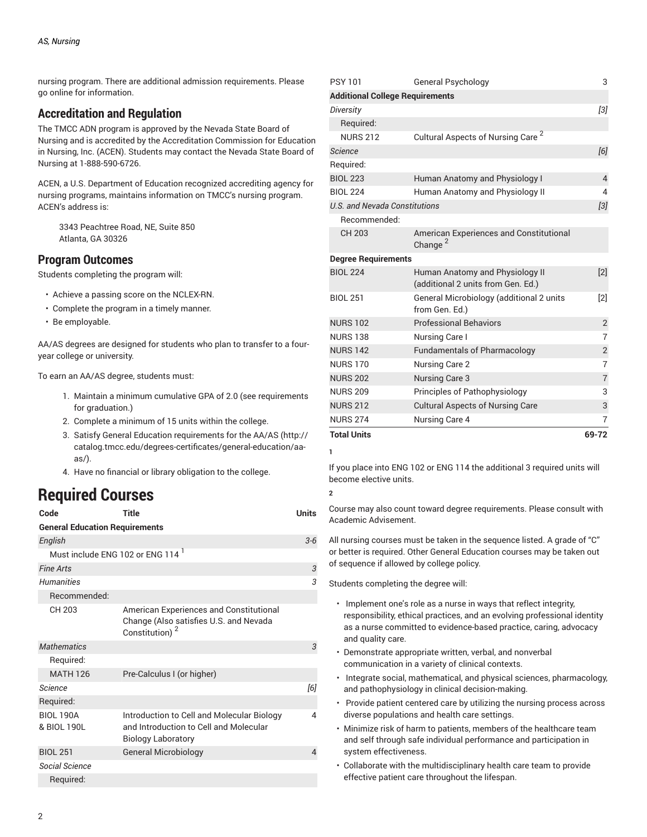nursing program. There are additional admission requirements. Please go online for information.

#### **Accreditation and Regulation**

The TMCC ADN program is approved by the Nevada State Board of Nursing and is accredited by the Accreditation Commission for Education in Nursing, Inc. (ACEN). Students may contact the Nevada State Board of Nursing at 1-888-590-6726.

ACEN, a U.S. Department of Education recognized accrediting agency for nursing programs, maintains information on TMCC's nursing program. ACEN's address is:

3343 Peachtree Road, NE, Suite 850 Atlanta, GA 30326

#### **Program Outcomes**

Students completing the program will:

- Achieve a passing score on the NCLEX-RN.
- Complete the program in a timely manner.
- Be employable.

AA/AS degrees are designed for students who plan to transfer to a fouryear college or university.

To earn an AA/AS degree, students must:

- 1. Maintain a minimum cumulative GPA of 2.0 (see requirements for graduation.)
- 2. Complete a minimum of 15 units within the college.
- 3. Satisfy General Education [requirements](http://catalog.tmcc.edu/degrees-certificates/general-education/aa-as/) for the AA/AS [\(http://](http://catalog.tmcc.edu/degrees-certificates/general-education/aa-as/) [catalog.tmcc.edu/degrees-certificates/general-education/aa](http://catalog.tmcc.edu/degrees-certificates/general-education/aa-as/)[as/\)](http://catalog.tmcc.edu/degrees-certificates/general-education/aa-as/).
- 4. Have no financial or library obligation to the college.

### **Required Courses**

| Code                                         | Title                                                                                                             | <b>Units</b> |  |  |
|----------------------------------------------|-------------------------------------------------------------------------------------------------------------------|--------------|--|--|
| <b>General Education Requirements</b>        |                                                                                                                   |              |  |  |
| English                                      |                                                                                                                   | $3-6$        |  |  |
| Must include ENG 102 or ENG 114 <sup>1</sup> |                                                                                                                   |              |  |  |
| <b>Fine Arts</b>                             |                                                                                                                   | 3            |  |  |
| Humanities                                   |                                                                                                                   | 3            |  |  |
| Recommended:                                 |                                                                                                                   |              |  |  |
| CH 203                                       | American Experiences and Constitutional<br>Change (Also satisfies U.S. and Nevada<br>Constitution) <sup>2</sup>   |              |  |  |
| <b>Mathematics</b>                           |                                                                                                                   | 3            |  |  |
| Required:                                    |                                                                                                                   |              |  |  |
| <b>MATH 126</b>                              | Pre-Calculus I (or higher)                                                                                        |              |  |  |
| Science                                      |                                                                                                                   | [6]          |  |  |
| Required:                                    |                                                                                                                   |              |  |  |
| <b>BIOL 190A</b><br>& BIOL 190L              | Introduction to Cell and Molecular Biology<br>and Introduction to Cell and Molecular<br><b>Biology Laboratory</b> | 4            |  |  |
| <b>BIOL 251</b>                              | <b>General Microbiology</b>                                                                                       | 4            |  |  |
| Social Science                               |                                                                                                                   |              |  |  |
| Required:                                    |                                                                                                                   |              |  |  |

| <b>PSY 101</b>                         | <b>General Psychology</b>                                             | 3                 |
|----------------------------------------|-----------------------------------------------------------------------|-------------------|
| <b>Additional College Requirements</b> |                                                                       |                   |
| Diversity                              |                                                                       | $\overline{3}$    |
| Required:                              |                                                                       |                   |
| <b>NURS 212</b>                        | Cultural Aspects of Nursing Care <sup>2</sup>                         |                   |
| <b>Science</b>                         |                                                                       | [6]               |
| Required:                              |                                                                       |                   |
| <b>BIOL 223</b>                        | Human Anatomy and Physiology I                                        | $\overline{4}$    |
| <b>BIOL 224</b>                        | Human Anatomy and Physiology II                                       | 4                 |
| <b>U.S. and Nevada Constitutions</b>   |                                                                       | $\overline{3}$    |
| Recommended:                           |                                                                       |                   |
| <b>CH 203</b>                          | American Experiences and Constitutional<br>Change <sup>2</sup>        |                   |
| <b>Degree Requirements</b>             |                                                                       |                   |
| <b>BIOL 224</b>                        | Human Anatomy and Physiology II<br>(additional 2 units from Gen. Ed.) | $\lceil 2 \rceil$ |
| <b>BIOL 251</b>                        | General Microbiology (additional 2 units<br>from Gen. Ed.)            | $\lceil 2 \rceil$ |
| <b>NURS 102</b>                        | <b>Professional Behaviors</b>                                         | $\overline{2}$    |
| <b>NURS 138</b>                        | Nursing Care I                                                        | $\overline{7}$    |
| <b>NURS 142</b>                        | <b>Fundamentals of Pharmacology</b>                                   | $\overline{2}$    |
| <b>NURS 170</b>                        | Nursing Care 2                                                        | $\overline{7}$    |
| <b>NURS 202</b>                        | <b>Nursing Care 3</b>                                                 | $\overline{7}$    |
| <b>NURS 209</b>                        | Principles of Pathophysiology                                         | 3                 |
| <b>NURS 212</b>                        | <b>Cultural Aspects of Nursing Care</b>                               | 3                 |
| <b>NURS 274</b>                        | Nursing Care 4                                                        | 7                 |
| <b>Total Units</b>                     |                                                                       | 69-72             |

**1**

If you place into [ENG 102](/search/?P=ENG%20102) or [ENG 114](/search/?P=ENG%20114) the additional 3 required units will become elective units.

**2**

Course may also count toward degree requirements. Please consult with Academic Advisement.

All nursing courses must be taken in the sequence listed. A grade of "C" or better is required. Other General Education courses may be taken out of sequence if allowed by college policy.

Students completing the degree will:

- Implement one's role as a nurse in ways that reflect integrity, responsibility, ethical practices, and an evolving professional identity as a nurse committed to evidence-based practice, caring, advocacy and quality care.
- Demonstrate appropriate written, verbal, and nonverbal communication in a variety of clinical contexts.
- Integrate social, mathematical, and physical sciences, pharmacology, and pathophysiology in clinical decision-making.
- Provide patient centered care by utilizing the nursing process across diverse populations and health care settings.
- Minimize risk of harm to patients, members of the healthcare team and self through safe individual performance and participation in system effectiveness.
- Collaborate with the multidisciplinary health care team to provide effective patient care throughout the lifespan.